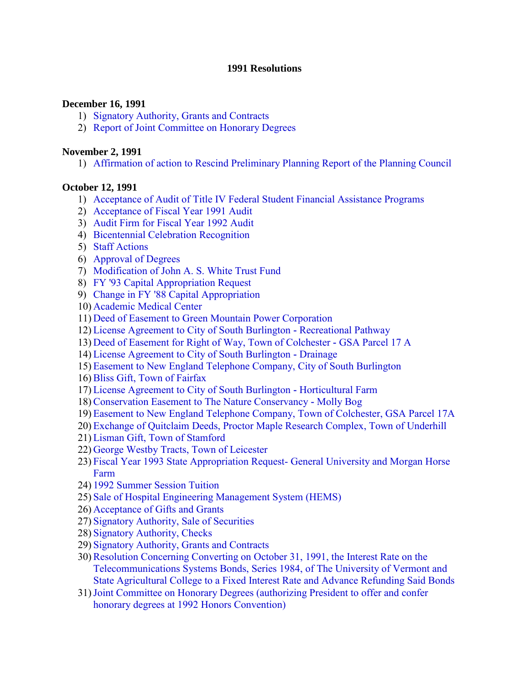#### **1991 Resolutions**

#### **December 16, 1991**

- 1) [Signatory Authority, Grants and Contracts](#page-3-0)
- 2) [Report of Joint Committee on Honorary Degrees](#page-3-0)

#### **November 2, 1991**

1) [Affirmation of action to Rescind Preliminary Planning Report of the Planning Council](#page-4-0) 

#### **October 12, 1991**

- 1) [Acceptance of Audit of Title IV Federal Student Financial Assistance Programs](#page-5-0)
- 2) [Acceptance of Fiscal Year 1991 Audit](#page-5-0)
- 3) [Audit Firm for Fiscal Year 1992 Audit](#page-5-0)
- 4) [Bicentennial Celebration Recognition](#page-5-0)
- 5) [Staff Actions](#page-6-0)
- 6) [Approval of Degrees](#page-6-0)
- 7) [Modification of John A. S. White Trust Fund](#page-6-0)
- 8) [FY '93 Capital Appropriation Request](#page-7-0)
- 9) [Change in FY '88 Capital Appropriation](#page-7-0)
- 10) [Academic Medical Center](#page-7-0)
- 11) [Deed of Easement to Green Mountain Power Corporation](#page-7-0)
- 12) [License Agreement to City of South Burlington](#page-8-0) **-** Recreational Pathway
- 13) [Deed of Easement for Right of Way, Town of Colchester](#page-8-0) **-** GSA Parcel 17 A
- 14) [License Agreement to City of South Burlington](#page-8-0) **-** Drainage
- 15) [Easement to New England Telephone Company, City of South Burlington](#page-9-0)
- 16)[Bliss Gift, Town of Fairfax](#page-10-0)
- 17) [License Agreement to City of South Burlington](#page-10-0) **-** Horticultural Farm
- 18)[Conservation Easement to The Nature Conservancy](#page-10-0) **-** Molly Bog
- 19) [Easement to New England Telephone Company, Town of Colchester, GSA Parcel 17A](#page-11-0)
- 20) [Exchange of Quitclaim Deeds, Proctor Maple Research Complex, Town of Underhill](#page-12-0)
- 21) [Lisman Gift, Town of Stamford](#page-12-0)
- 22) [George Westby Tracts, Town of Leicester](#page-12-0)
- 23) [Fiscal Year 1993 State Appropriation Request- General University and Morgan Horse](#page-13-0) Farm
- 24) [1992 Summer Session Tuition](#page-13-0)
- 25) [Sale of Hospital Engineering Management System \(HEMS\)](#page-13-0)
- 26) [Acceptance of Gifts and Grants](#page-13-0)
- 27) [Signatory Authority, Sale of Securities](#page-14-0)
- 28) [Signatory Authority, Checks](#page-14-0)
- 29) [Signatory Authority, Grants and Contracts](#page-14-0)
- 30)Resolution Concerning Converting on October 31, 1991, the Interest Rate on the Telecommunications Systems Bonds, Series 1984, of The University of Vermont and [State Agricultural College to a Fixed Interest Rate and Advance Refunding Said Bonds](#page-15-0)
- 31)[Joint Committee on Honorary Degrees \(authorizing President to offer and confer](#page-15-0)  honorary degrees at 1992 Honors Convention)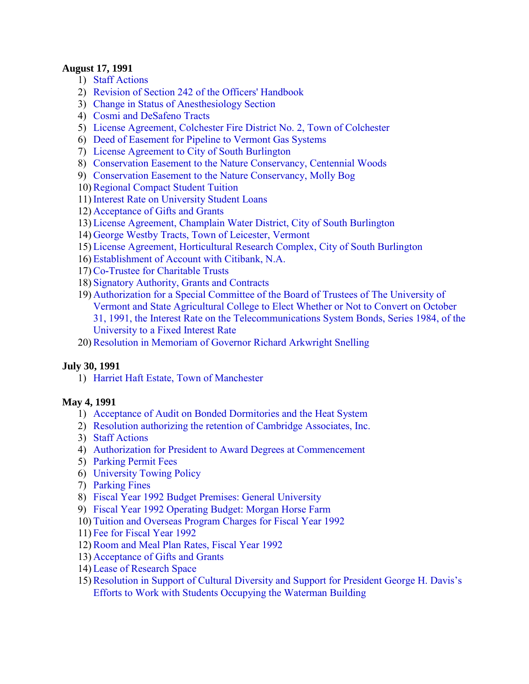#### **August 17, 1991**

- 1) [Staff Actions](#page-16-0)
- 2) [Revision of Section 242 of the Officers' Handbook](#page-16-0)
- 3) [Change in Status of Anesthesiology Section](#page-16-0)
- 4) [Cosmi and DeSafeno Tracts](#page-16-0)
- 5) [License Agreement, Colchester Fire District No. 2, Town of Colchester](#page-17-0)
- 6) [Deed of Easement for Pipeline to Vermont Gas Systems](#page-17-0)
- 7) [License Agreement to City of South Burlington](#page-18-0)
- 8) [Conservation Easement to the Nature Conservancy, Centennial Woods](#page-18-0)
- 9) [Conservation Easement to the Nature Conservancy, Molly Bog](#page-19-0)
- 10[\)Regional Compact Student Tuition](#page-19-0)
- 11) [Interest Rate on University Student Loans](#page-19-0)
- 12) [Acceptance of Gifts and Grants](#page-20-0)
- 13) [License Agreement, Champlain Water District, City of South Burlington](#page-20-0)
- 14) [George Westby Tracts, Town of Leicester, Vermont](#page-21-0)
- 15) [License Agreement, Horticultural Research Complex, City of South Burlington](#page-21-0)
- 16) [Establishment of Account with Citibank, N.A.](#page-22-0)
- 17)Co**-**[Trustee for Charitable Trusts](#page-23-0)
- 18) [Signatory Authority, Grants and Contracts](#page-23-0)
- 19) Authorization for a Special Committee of the Board of Trustees of The University of Vermont and State Agricultural College to Elect Whether or Not to Convert on October [31, 1991, the Interest Rate on the Telecommunications System Bonds, Series 1984, of the](#page-23-0)  University to a Fixed Interest Rate

20)[Resolution in Memoriam of Governor Richard Arkwright Snelling](#page-23-0) 

#### **July 30, 1991**

1) [Harriet Haft Estate, Town of Manchester](#page-25-0) 

#### **May 4, 1991**

- 1) [Acceptance of Audit on Bonded Dormitories and the Heat System](#page-26-0)
- 2) [Resolution authorizing the retention of Cambridge Associates, Inc.](#page-26-0)
- 3) [Staff Actions](#page-26-0)
- 4) [Authorization for President to Award Degrees at Commencement](#page-27-0)
- 5) [Parking Permit Fees](#page-27-0)
- 6) [University Towing Policy](#page-28-0)
- 7) [Parking Fines](#page-28-0)
- 8) [Fiscal Year 1992 Budget Premises: General University](#page-28-0)
- 9) [Fiscal Year 1992 Operating Budget: Morgan Horse Farm](#page-28-0)
- 10) [Tuition and Overseas Program Charges for Fiscal Year 1992](#page-28-0)
- 11) [Fee for Fiscal Year 1992](#page-29-0)
- 12)[Room and Meal Plan Rates, Fiscal Year 1992](#page-29-0)
- 13) [Acceptance of Gifts and Grants](#page-29-0)
- 14) [Lease of Research Space](#page-30-0)
- 15)[Resolution in Support of Cultural Diversity and Support for President George H. Davis's](#page-30-0)  Efforts to Work with Students Occupying the Waterman Building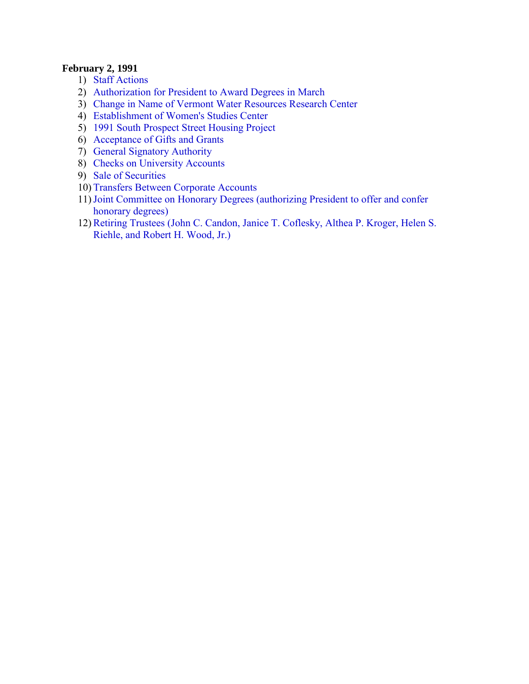#### **February 2, 1991**

- 1) [Staff Actions](#page-32-0)
- 2) [Authorization for President to Award Degrees in March](#page-32-0)
- 3) [Change in Name of Vermont Water Resources Research Center](#page-32-0)
- 4) [Establishment of Women's Studies Center](#page-32-0)
- 5) [1991 South Prospect Street Housing Project](#page-32-0)
- 6) [Acceptance of Gifts and Grants](#page-33-0)
- 7) [General Signatory Authority](#page-33-0)
- 8) [Checks on University Accounts](#page-33-0)
- 9) [Sale of Securities](#page-33-0)
- 10) [Transfers Between Corporate Accounts](#page-34-0)
- 11)[Joint Committee on Honorary Degrees \(authorizing President to offer and confer](#page-34-0)  honorary degrees)
- 12)[Retiring Trustees \(John C. Candon, Janice T. Coflesky, Althea P. Kroger, Helen S.](#page-34-0)  Riehle, and Robert H. Wood, Jr.)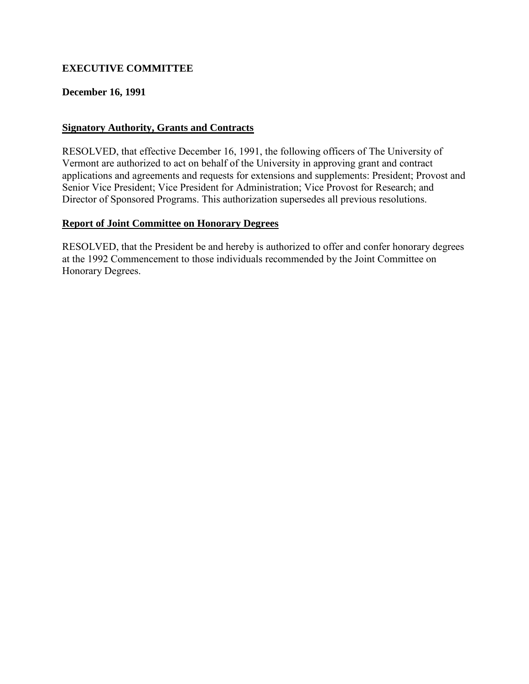# <span id="page-3-0"></span>**EXECUTIVE COMMITTEE**

### **December 16, 1991**

### **Signatory Authority, Grants and Contracts**

RESOLVED, that effective December 16, 1991, the following officers of The University of Vermont are authorized to act on behalf of the University in approving grant and contract applications and agreements and requests for extensions and supplements: President; Provost and Senior Vice President; Vice President for Administration; Vice Provost for Research; and Director of Sponsored Programs. This authorization supersedes all previous resolutions.

### **Report of Joint Committee on Honorary Degrees**

RESOLVED, that the President be and hereby is authorized to offer and confer honorary degrees at the 1992 Commencement to those individuals recommended by the Joint Committee on Honorary Degrees.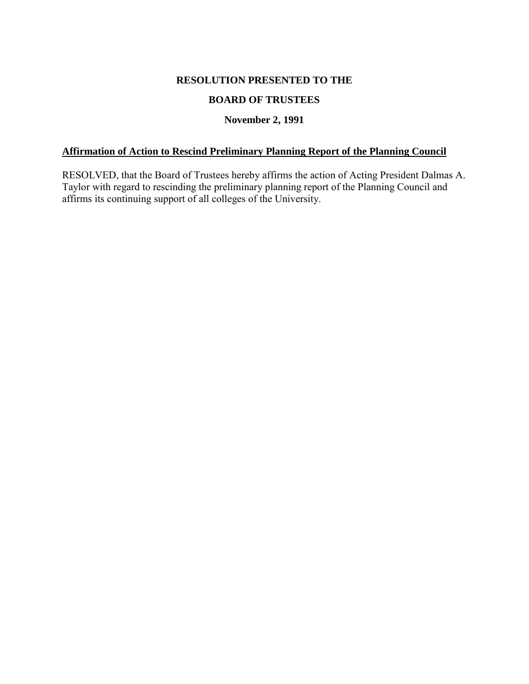#### **RESOLUTION PRESENTED TO THE**

### **BOARD OF TRUSTEES**

### **November 2, 1991**

### <span id="page-4-0"></span>**Affirmation of Action to Rescind Preliminary Planning Report of the Planning Council**

RESOLVED, that the Board of Trustees hereby affirms the action of Acting President Dalmas A. Taylor with regard to rescinding the preliminary planning report of the Planning Council and affirms its continuing support of all colleges of the University.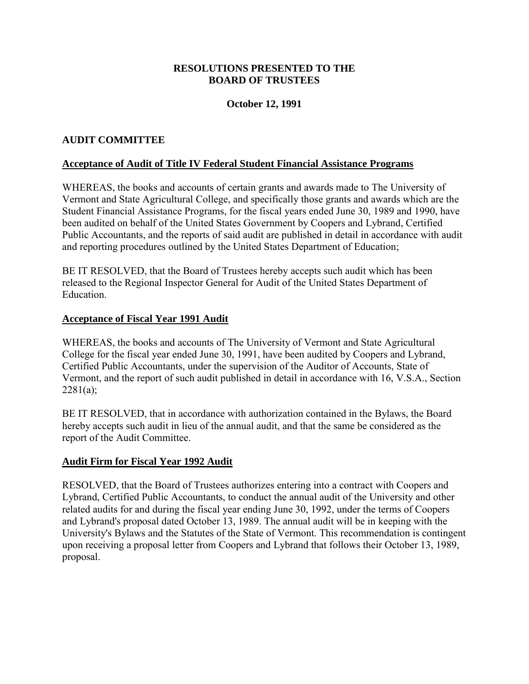### **RESOLUTIONS PRESENTED TO THE BOARD OF TRUSTEES**

### **October 12, 1991**

### <span id="page-5-0"></span>**AUDIT COMMITTEE**

#### **Acceptance of Audit of Title IV Federal Student Financial Assistance Programs**

WHEREAS, the books and accounts of certain grants and awards made to The University of Vermont and State Agricultural College, and specifically those grants and awards which are the Student Financial Assistance Programs, for the fiscal years ended June 30, 1989 and 1990, have been audited on behalf of the United States Government by Coopers and Lybrand, Certified Public Accountants, and the reports of said audit are published in detail in accordance with audit and reporting procedures outlined by the United States Department of Education;

BE IT RESOLVED, that the Board of Trustees hereby accepts such audit which has been released to the Regional Inspector General for Audit of the United States Department of **Education** 

#### **Acceptance of Fiscal Year 1991 Audit**

WHEREAS, the books and accounts of The University of Vermont and State Agricultural College for the fiscal year ended June 30, 1991, have been audited by Coopers and Lybrand, Certified Public Accountants, under the supervision of the Auditor of Accounts, State of Vermont, and the report of such audit published in detail in accordance with 16, V.S.A., Section  $2281(a)$ ;

BE IT RESOLVED, that in accordance with authorization contained in the Bylaws, the Board hereby accepts such audit in lieu of the annual audit, and that the same be considered as the report of the Audit Committee.

#### **Audit Firm for Fiscal Year 1992 Audit**

RESOLVED, that the Board of Trustees authorizes entering into a contract with Coopers and Lybrand, Certified Public Accountants, to conduct the annual audit of the University and other related audits for and during the fiscal year ending June 30, 1992, under the terms of Coopers and Lybrand's proposal dated October 13, 1989. The annual audit will be in keeping with the University's Bylaws and the Statutes of the State of Vermont. This recommendation is contingent upon receiving a proposal letter from Coopers and Lybrand that follows their October 13, 1989, proposal.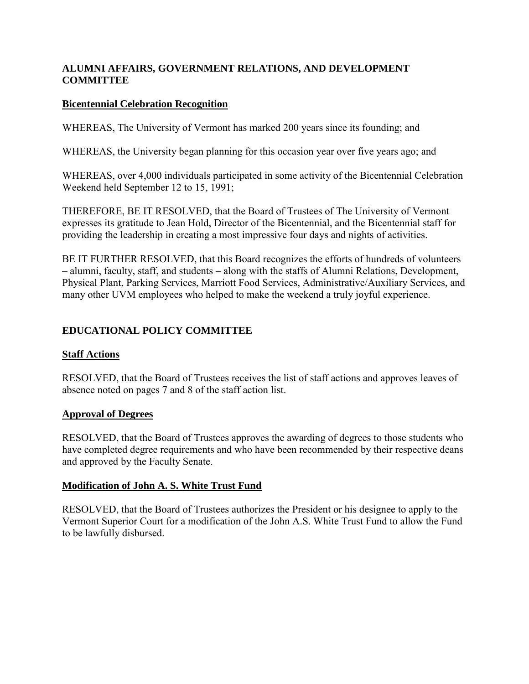# <span id="page-6-0"></span>**ALUMNI AFFAIRS, GOVERNMENT RELATIONS, AND DEVELOPMENT COMMITTEE**

## **Bicentennial Celebration Recognition**

WHEREAS, The University of Vermont has marked 200 years since its founding; and

WHEREAS, the University began planning for this occasion year over five years ago; and

WHEREAS, over 4,000 individuals participated in some activity of the Bicentennial Celebration Weekend held September 12 to 15, 1991;

THEREFORE, BE IT RESOLVED, that the Board of Trustees of The University of Vermont expresses its gratitude to Jean Hold, Director of the Bicentennial, and the Bicentennial staff for providing the leadership in creating a most impressive four days and nights of activities.

BE IT FURTHER RESOLVED, that this Board recognizes the efforts of hundreds of volunteers – alumni, faculty, staff, and students – along with the staffs of Alumni Relations, Development, Physical Plant, Parking Services, Marriott Food Services, Administrative/Auxiliary Services, and many other UVM employees who helped to make the weekend a truly joyful experience.

# **EDUCATIONAL POLICY COMMITTEE**

#### **Staff Actions**

RESOLVED, that the Board of Trustees receives the list of staff actions and approves leaves of absence noted on pages 7 and 8 of the staff action list.

#### **Approval of Degrees**

RESOLVED, that the Board of Trustees approves the awarding of degrees to those students who have completed degree requirements and who have been recommended by their respective deans and approved by the Faculty Senate.

#### **Modification of John A. S. White Trust Fund**

RESOLVED, that the Board of Trustees authorizes the President or his designee to apply to the Vermont Superior Court for a modification of the John A.S. White Trust Fund to allow the Fund to be lawfully disbursed.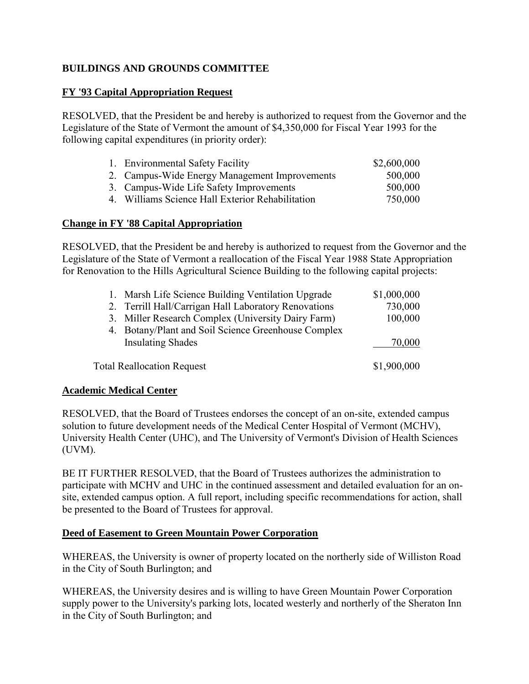# <span id="page-7-0"></span>**BUILDINGS AND GROUNDS COMMITTEE**

### **FY '93 Capital Appropriation Request**

RESOLVED, that the President be and hereby is authorized to request from the Governor and the Legislature of the State of Vermont the amount of \$4,350,000 for Fiscal Year 1993 for the following capital expenditures (in priority order):

| 1. Environmental Safety Facility                 | \$2,600,000 |
|--------------------------------------------------|-------------|
| 2. Campus-Wide Energy Management Improvements    | 500,000     |
| 3. Campus-Wide Life Safety Improvements          | 500,000     |
| 4. Williams Science Hall Exterior Rehabilitation | 750,000     |

### **Change in FY '88 Capital Appropriation**

RESOLVED, that the President be and hereby is authorized to request from the Governor and the Legislature of the State of Vermont a reallocation of the Fiscal Year 1988 State Appropriation for Renovation to the Hills Agricultural Science Building to the following capital projects:

| Marsh Life Science Building Ventilation Upgrade<br>1. | \$1,000,000 |
|-------------------------------------------------------|-------------|
| 2. Terrill Hall/Carrigan Hall Laboratory Renovations  | 730,000     |
| 3. Miller Research Complex (University Dairy Farm)    | 100,000     |
| 4. Botany/Plant and Soil Science Greenhouse Complex   |             |
| <b>Insulating Shades</b>                              | 70,000      |
| <b>Total Reallocation Request</b>                     | \$1,900,000 |

#### **Academic Medical Center**

RESOLVED, that the Board of Trustees endorses the concept of an on-site, extended campus solution to future development needs of the Medical Center Hospital of Vermont (MCHV), University Health Center (UHC), and The University of Vermont's Division of Health Sciences (UVM).

BE IT FURTHER RESOLVED, that the Board of Trustees authorizes the administration to participate with MCHV and UHC in the continued assessment and detailed evaluation for an onsite, extended campus option. A full report, including specific recommendations for action, shall be presented to the Board of Trustees for approval.

#### **Deed of Easement to Green Mountain Power Corporation**

WHEREAS, the University is owner of property located on the northerly side of Williston Road in the City of South Burlington; and

WHEREAS, the University desires and is willing to have Green Mountain Power Corporation supply power to the University's parking lots, located westerly and northerly of the Sheraton Inn in the City of South Burlington; and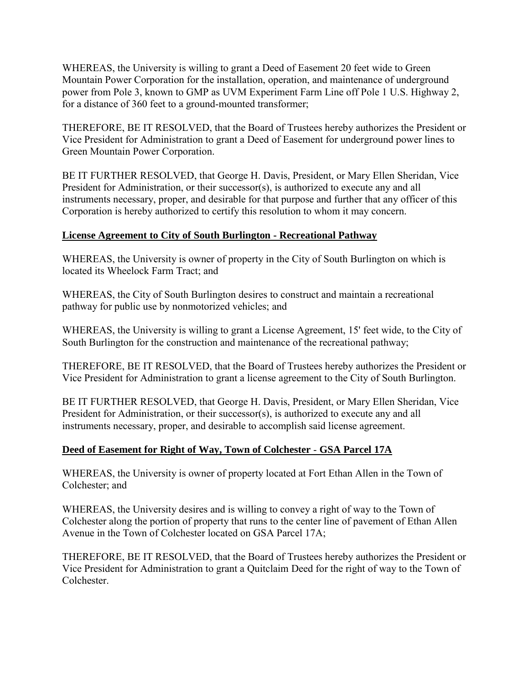<span id="page-8-0"></span>WHEREAS, the University is willing to grant a Deed of Easement 20 feet wide to Green Mountain Power Corporation for the installation, operation, and maintenance of underground power from Pole 3, known to GMP as UVM Experiment Farm Line off Pole 1 U.S. Highway 2, for a distance of 360 feet to a ground-mounted transformer;

THEREFORE, BE IT RESOLVED, that the Board of Trustees hereby authorizes the President or Vice President for Administration to grant a Deed of Easement for underground power lines to Green Mountain Power Corporation.

BE IT FURTHER RESOLVED, that George H. Davis, President, or Mary Ellen Sheridan, Vice President for Administration, or their successor(s), is authorized to execute any and all instruments necessary, proper, and desirable for that purpose and further that any officer of this Corporation is hereby authorized to certify this resolution to whom it may concern.

## **License Agreement to City of South Burlington - Recreational Pathway**

WHEREAS, the University is owner of property in the City of South Burlington on which is located its Wheelock Farm Tract; and

WHEREAS, the City of South Burlington desires to construct and maintain a recreational pathway for public use by nonmotorized vehicles; and

WHEREAS, the University is willing to grant a License Agreement, 15' feet wide, to the City of South Burlington for the construction and maintenance of the recreational pathway;

THEREFORE, BE IT RESOLVED, that the Board of Trustees hereby authorizes the President or Vice President for Administration to grant a license agreement to the City of South Burlington.

BE IT FURTHER RESOLVED, that George H. Davis, President, or Mary Ellen Sheridan, Vice President for Administration, or their successor(s), is authorized to execute any and all instruments necessary, proper, and desirable to accomplish said license agreement.

## **Deed of Easement for Right of Way, Town of Colchester** - **GSA Parcel 17A**

WHEREAS, the University is owner of property located at Fort Ethan Allen in the Town of Colchester; and

WHEREAS, the University desires and is willing to convey a right of way to the Town of Colchester along the portion of property that runs to the center line of pavement of Ethan Allen Avenue in the Town of Colchester located on GSA Parcel 17A;

THEREFORE, BE IT RESOLVED, that the Board of Trustees hereby authorizes the President or Vice President for Administration to grant a Quitclaim Deed for the right of way to the Town of Colchester.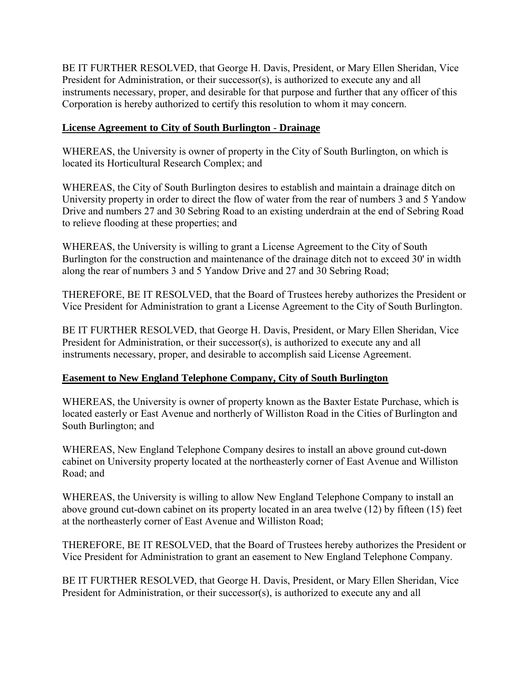<span id="page-9-0"></span>BE IT FURTHER RESOLVED, that George H. Davis, President, or Mary Ellen Sheridan, Vice President for Administration, or their successor(s), is authorized to execute any and all instruments necessary, proper, and desirable for that purpose and further that any officer of this Corporation is hereby authorized to certify this resolution to whom it may concern.

# **License Agreement to City of South Burlington** - **Drainage**

WHEREAS, the University is owner of property in the City of South Burlington, on which is located its Horticultural Research Complex; and

WHEREAS, the City of South Burlington desires to establish and maintain a drainage ditch on University property in order to direct the flow of water from the rear of numbers 3 and 5 Yandow Drive and numbers 27 and 30 Sebring Road to an existing underdrain at the end of Sebring Road to relieve flooding at these properties; and

WHEREAS, the University is willing to grant a License Agreement to the City of South Burlington for the construction and maintenance of the drainage ditch not to exceed 30' in width along the rear of numbers 3 and 5 Yandow Drive and 27 and 30 Sebring Road;

THEREFORE, BE IT RESOLVED, that the Board of Trustees hereby authorizes the President or Vice President for Administration to grant a License Agreement to the City of South Burlington.

BE IT FURTHER RESOLVED, that George H. Davis, President, or Mary Ellen Sheridan, Vice President for Administration, or their successor(s), is authorized to execute any and all instruments necessary, proper, and desirable to accomplish said License Agreement.

## **Easement to New England Telephone Company, City of South Burlington**

WHEREAS, the University is owner of property known as the Baxter Estate Purchase, which is located easterly or East Avenue and northerly of Williston Road in the Cities of Burlington and South Burlington; and

WHEREAS, New England Telephone Company desires to install an above ground cut**-**down cabinet on University property located at the northeasterly corner of East Avenue and Williston Road; and

WHEREAS, the University is willing to allow New England Telephone Company to install an above ground cut-down cabinet on its property located in an area twelve (12) by fifteen (15) feet at the northeasterly corner of East Avenue and Williston Road;

THEREFORE, BE IT RESOLVED, that the Board of Trustees hereby authorizes the President or Vice President for Administration to grant an easement to New England Telephone Company.

BE IT FURTHER RESOLVED, that George H. Davis, President, or Mary Ellen Sheridan, Vice President for Administration, or their successor(s), is authorized to execute any and all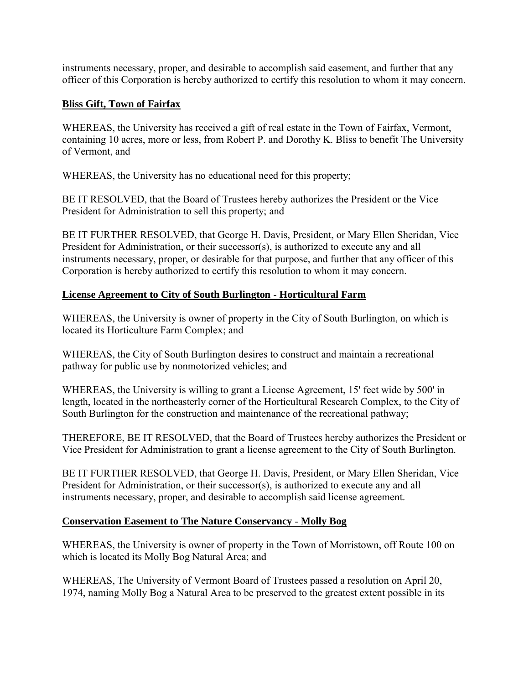<span id="page-10-0"></span>instruments necessary, proper, and desirable to accomplish said easement, and further that any officer of this Corporation is hereby authorized to certify this resolution to whom it may concern.

# **Bliss Gift, Town of Fairfax**

WHEREAS, the University has received a gift of real estate in the Town of Fairfax, Vermont, containing 10 acres, more or less, from Robert P. and Dorothy K. Bliss to benefit The University of Vermont, and

WHEREAS, the University has no educational need for this property;

BE IT RESOLVED, that the Board of Trustees hereby authorizes the President or the Vice President for Administration to sell this property; and

BE IT FURTHER RESOLVED, that George H. Davis, President, or Mary Ellen Sheridan, Vice President for Administration, or their successor(s), is authorized to execute any and all instruments necessary, proper, or desirable for that purpose, and further that any officer of this Corporation is hereby authorized to certify this resolution to whom it may concern.

# **License Agreement to City of South Burlington** - **Horticultural Farm**

WHEREAS, the University is owner of property in the City of South Burlington, on which is located its Horticulture Farm Complex; and

WHEREAS, the City of South Burlington desires to construct and maintain a recreational pathway for public use by nonmotorized vehicles; and

WHEREAS, the University is willing to grant a License Agreement, 15' feet wide by 500' in length, located in the northeasterly corner of the Horticultural Research Complex, to the City of South Burlington for the construction and maintenance of the recreational pathway;

THEREFORE, BE IT RESOLVED, that the Board of Trustees hereby authorizes the President or Vice President for Administration to grant a license agreement to the City of South Burlington.

BE IT FURTHER RESOLVED, that George H. Davis, President, or Mary Ellen Sheridan, Vice President for Administration, or their successor(s), is authorized to execute any and all instruments necessary, proper, and desirable to accomplish said license agreement.

## **Conservation Easement to The Nature Conservancy** - **Molly Bog**

WHEREAS, the University is owner of property in the Town of Morristown, off Route 100 on which is located its Molly Bog Natural Area; and

WHEREAS, The University of Vermont Board of Trustees passed a resolution on April 20, 1974, naming Molly Bog a Natural Area to be preserved to the greatest extent possible in its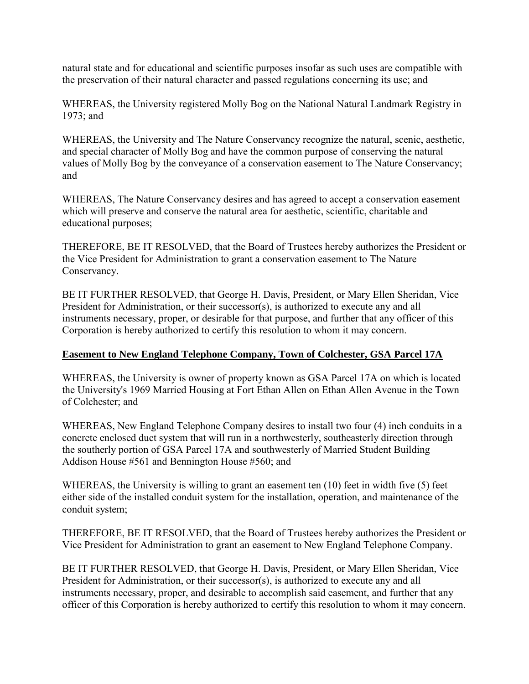<span id="page-11-0"></span>natural state and for educational and scientific purposes insofar as such uses are compatible with the preservation of their natural character and passed regulations concerning its use; and

WHEREAS, the University registered Molly Bog on the National Natural Landmark Registry in 1973; and

WHEREAS, the University and The Nature Conservancy recognize the natural, scenic, aesthetic, and special character of Molly Bog and have the common purpose of conserving the natural values of Molly Bog by the conveyance of a conservation easement to The Nature Conservancy; and

WHEREAS, The Nature Conservancy desires and has agreed to accept a conservation easement which will preserve and conserve the natural area for aesthetic, scientific, charitable and educational purposes;

THEREFORE, BE IT RESOLVED, that the Board of Trustees hereby authorizes the President or the Vice President for Administration to grant a conservation easement to The Nature Conservancy.

BE IT FURTHER RESOLVED, that George H. Davis, President, or Mary Ellen Sheridan, Vice President for Administration, or their successor(s), is authorized to execute any and all instruments necessary, proper, or desirable for that purpose, and further that any officer of this Corporation is hereby authorized to certify this resolution to whom it may concern.

## **Easement to New England Telephone Company, Town of Colchester, GSA Parcel 17A**

WHEREAS, the University is owner of property known as GSA Parcel 17A on which is located the University's 1969 Married Housing at Fort Ethan Allen on Ethan Allen Avenue in the Town of Colchester; and

WHEREAS, New England Telephone Company desires to install two four (4) inch conduits in a concrete enclosed duct system that will run in a northwesterly, southeasterly direction through the southerly portion of GSA Parcel 17A and southwesterly of Married Student Building Addison House #561 and Bennington House #560; and

WHEREAS, the University is willing to grant an easement ten (10) feet in width five (5) feet either side of the installed conduit system for the installation, operation, and maintenance of the conduit system;

THEREFORE, BE IT RESOLVED, that the Board of Trustees hereby authorizes the President or Vice President for Administration to grant an easement to New England Telephone Company.

BE IT FURTHER RESOLVED, that George H. Davis, President, or Mary Ellen Sheridan, Vice President for Administration, or their successor(s), is authorized to execute any and all instruments necessary, proper, and desirable to accomplish said easement, and further that any officer of this Corporation is hereby authorized to certify this resolution to whom it may concern.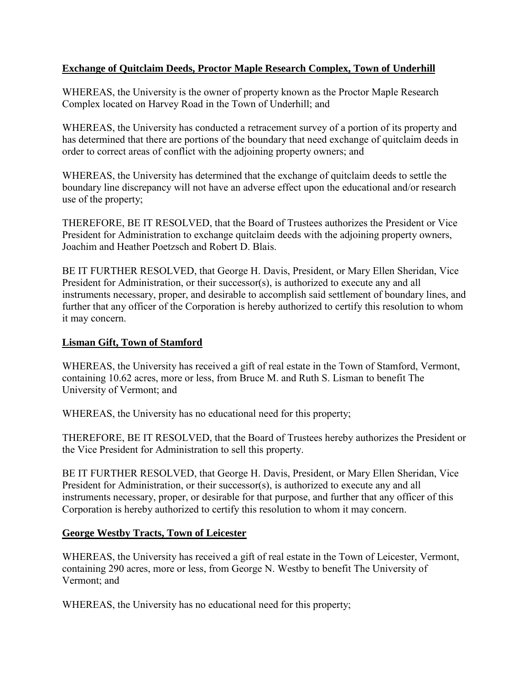# <span id="page-12-0"></span>**Exchange of Quitclaim Deeds, Proctor Maple Research Complex, Town of Underhill**

WHEREAS, the University is the owner of property known as the Proctor Maple Research Complex located on Harvey Road in the Town of Underhill; and

WHEREAS, the University has conducted a retracement survey of a portion of its property and has determined that there are portions of the boundary that need exchange of quitclaim deeds in order to correct areas of conflict with the adjoining property owners; and

WHEREAS, the University has determined that the exchange of quitclaim deeds to settle the boundary line discrepancy will not have an adverse effect upon the educational and/or research use of the property;

THEREFORE, BE IT RESOLVED, that the Board of Trustees authorizes the President or Vice President for Administration to exchange quitclaim deeds with the adjoining property owners, Joachim and Heather Poetzsch and Robert D. Blais.

BE IT FURTHER RESOLVED, that George H. Davis, President, or Mary Ellen Sheridan, Vice President for Administration, or their successor(s), is authorized to execute any and all instruments necessary, proper, and desirable to accomplish said settlement of boundary lines, and further that any officer of the Corporation is hereby authorized to certify this resolution to whom it may concern.

### **Lisman Gift, Town of Stamford**

WHEREAS, the University has received a gift of real estate in the Town of Stamford, Vermont, containing 10.62 acres, more or less, from Bruce M. and Ruth S. Lisman to benefit The University of Vermont; and

WHEREAS, the University has no educational need for this property;

THEREFORE, BE IT RESOLVED, that the Board of Trustees hereby authorizes the President or the Vice President for Administration to sell this property.

BE IT FURTHER RESOLVED, that George H. Davis, President, or Mary Ellen Sheridan, Vice President for Administration, or their successor(s), is authorized to execute any and all instruments necessary, proper, or desirable for that purpose, and further that any officer of this Corporation is hereby authorized to certify this resolution to whom it may concern.

## **George Westby Tracts, Town of Leicester**

WHEREAS, the University has received a gift of real estate in the Town of Leicester, Vermont, containing 290 acres, more or less, from George N. Westby to benefit The University of Vermont; and

WHEREAS, the University has no educational need for this property;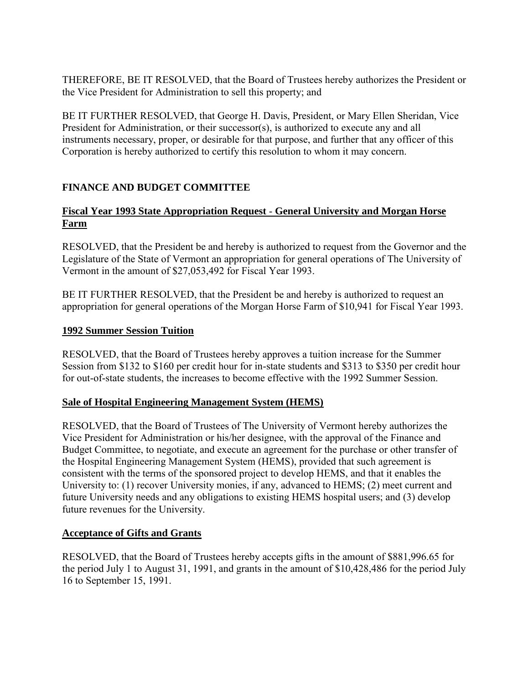<span id="page-13-0"></span>THEREFORE, BE IT RESOLVED, that the Board of Trustees hereby authorizes the President or the Vice President for Administration to sell this property; and

BE IT FURTHER RESOLVED, that George H. Davis, President, or Mary Ellen Sheridan, Vice President for Administration, or their successor(s), is authorized to execute any and all instruments necessary, proper, or desirable for that purpose, and further that any officer of this Corporation is hereby authorized to certify this resolution to whom it may concern.

# **FINANCE AND BUDGET COMMITTEE**

# **Fiscal Year 1993 State Appropriation Request** - **General University and Morgan Horse Farm**

RESOLVED, that the President be and hereby is authorized to request from the Governor and the Legislature of the State of Vermont an appropriation for general operations of The University of Vermont in the amount of \$27,053,492 for Fiscal Year 1993.

BE IT FURTHER RESOLVED, that the President be and hereby is authorized to request an appropriation for general operations of the Morgan Horse Farm of \$10,941 for Fiscal Year 1993.

# **1992 Summer Session Tuition**

RESOLVED, that the Board of Trustees hereby approves a tuition increase for the Summer Session from \$132 to \$160 per credit hour for in-state students and \$313 to \$350 per credit hour for out-of-state students, the increases to become effective with the 1992 Summer Session.

## **Sale of Hospital Engineering Management System (HEMS)**

RESOLVED, that the Board of Trustees of The University of Vermont hereby authorizes the Vice President for Administration or his/her designee, with the approval of the Finance and Budget Committee, to negotiate, and execute an agreement for the purchase or other transfer of the Hospital Engineering Management System (HEMS), provided that such agreement is consistent with the terms of the sponsored project to develop HEMS, and that it enables the University to: (1) recover University monies, if any, advanced to HEMS; (2) meet current and future University needs and any obligations to existing HEMS hospital users; and (3) develop future revenues for the University.

## **Acceptance of Gifts and Grants**

RESOLVED, that the Board of Trustees hereby accepts gifts in the amount of \$881,996.65 for the period July 1 to August 31, 1991, and grants in the amount of \$10,428,486 for the period July 16 to September 15, 1991.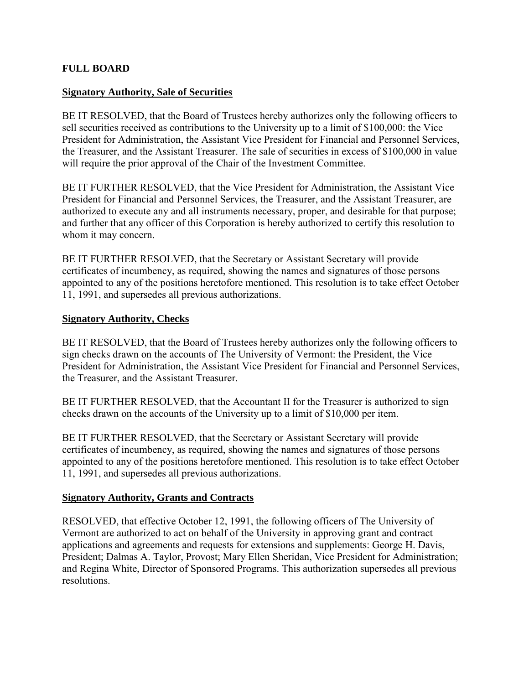### <span id="page-14-0"></span>**FULL BOARD**

#### **Signatory Authority, Sale of Securities**

BE IT RESOLVED, that the Board of Trustees hereby authorizes only the following officers to sell securities received as contributions to the University up to a limit of \$100,000: the Vice President for Administration, the Assistant Vice President for Financial and Personnel Services, the Treasurer, and the Assistant Treasurer. The sale of securities in excess of \$100,000 in value will require the prior approval of the Chair of the Investment Committee.

BE IT FURTHER RESOLVED, that the Vice President for Administration, the Assistant Vice President for Financial and Personnel Services, the Treasurer, and the Assistant Treasurer, are authorized to execute any and all instruments necessary, proper, and desirable for that purpose; and further that any officer of this Corporation is hereby authorized to certify this resolution to whom it may concern.

BE IT FURTHER RESOLVED, that the Secretary or Assistant Secretary will provide certificates of incumbency, as required, showing the names and signatures of those persons appointed to any of the positions heretofore mentioned. This resolution is to take effect October 11, 1991, and supersedes all previous authorizations.

#### **Signatory Authority, Checks**

BE IT RESOLVED, that the Board of Trustees hereby authorizes only the following officers to sign checks drawn on the accounts of The University of Vermont: the President, the Vice President for Administration, the Assistant Vice President for Financial and Personnel Services, the Treasurer, and the Assistant Treasurer.

BE IT FURTHER RESOLVED, that the Accountant II for the Treasurer is authorized to sign checks drawn on the accounts of the University up to a limit of \$10,000 per item.

BE IT FURTHER RESOLVED, that the Secretary or Assistant Secretary will provide certificates of incumbency, as required, showing the names and signatures of those persons appointed to any of the positions heretofore mentioned. This resolution is to take effect October 11, 1991, and supersedes all previous authorizations.

#### **Signatory Authority, Grants and Contracts**

RESOLVED, that effective October 12, 1991, the following officers of The University of Vermont are authorized to act on behalf of the University in approving grant and contract applications and agreements and requests for extensions and supplements: George H. Davis, President; Dalmas A. Taylor, Provost; Mary Ellen Sheridan, Vice President for Administration; and Regina White, Director of Sponsored Programs. This authorization supersedes all previous resolutions.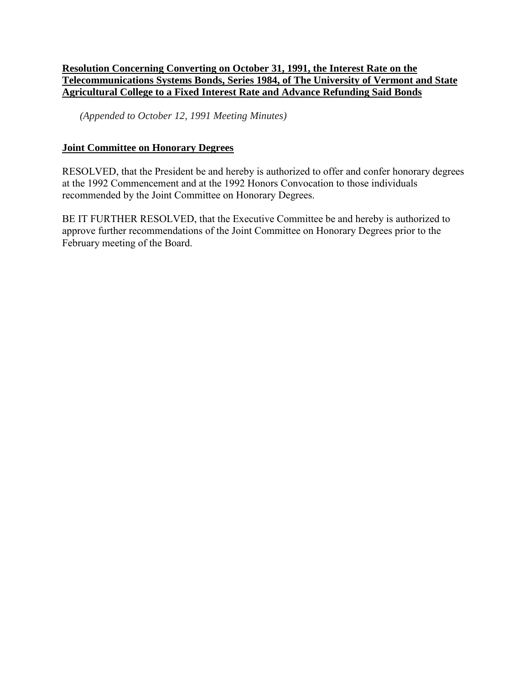## <span id="page-15-0"></span>**Resolution Concerning Converting on October 31, 1991, the Interest Rate on the Telecommunications Systems Bonds, Series 1984, of The University of Vermont and State Agricultural College to a Fixed Interest Rate and Advance Refunding Said Bonds**

*(Appended to October 12, 1991 Meeting Minutes)*

### **Joint Committee on Honorary Degrees**

RESOLVED, that the President be and hereby is authorized to offer and confer honorary degrees at the 1992 Commencement and at the 1992 Honors Convocation to those individuals recommended by the Joint Committee on Honorary Degrees.

BE IT FURTHER RESOLVED, that the Executive Committee be and hereby is authorized to approve further recommendations of the Joint Committee on Honorary Degrees prior to the February meeting of the Board.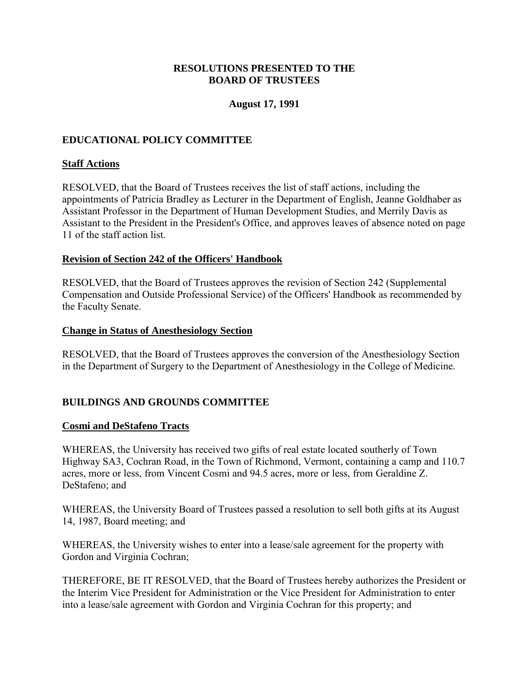### **RESOLUTIONS PRESENTED TO THE BOARD OF TRUSTEES**

### **August 17, 1991**

# <span id="page-16-0"></span>**EDUCATIONAL POLICY COMMITTEE**

### **Staff Actions**

RESOLVED, that the Board of Trustees receives the list of staff actions, including the appointments of Patricia Bradley as Lecturer in the Department of English, Jeanne Goldhaber as Assistant Professor in the Department of Human Development Studies, and Merrily Davis as Assistant to the President in the President's Office, and approves leaves of absence noted on page 11 of the staff action list.

### **Revision of Section 242 of the Officers' Handbook**

RESOLVED, that the Board of Trustees approves the revision of Section 242 (Supplemental Compensation and Outside Professional Service) of the Officers' Handbook as recommended by the Faculty Senate.

#### **Change in Status of Anesthesiology Section**

RESOLVED, that the Board of Trustees approves the conversion of the Anesthesiology Section in the Department of Surgery to the Department of Anesthesiology in the College of Medicine.

## **BUILDINGS AND GROUNDS COMMITTEE**

#### **Cosmi and DeStafeno Tracts**

WHEREAS, the University has received two gifts of real estate located southerly of Town Highway SA3, Cochran Road, in the Town of Richmond, Vermont, containing a camp and 110.7 acres, more or less, from Vincent Cosmi and 94.5 acres, more or less, from Geraldine Z. DeStafeno; and

WHEREAS, the University Board of Trustees passed a resolution to sell both gifts at its August 14, 1987, Board meeting; and

WHEREAS, the University wishes to enter into a lease/sale agreement for the property with Gordon and Virginia Cochran;

THEREFORE, BE IT RESOLVED, that the Board of Trustees hereby authorizes the President or the Interim Vice President for Administration or the Vice President for Administration to enter into a lease/sale agreement with Gordon and Virginia Cochran for this property; and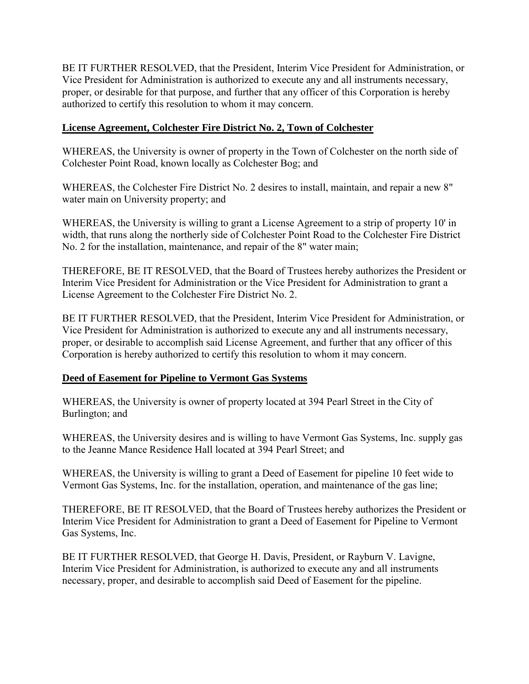<span id="page-17-0"></span>BE IT FURTHER RESOLVED, that the President, Interim Vice President for Administration, or Vice President for Administration is authorized to execute any and all instruments necessary, proper, or desirable for that purpose, and further that any officer of this Corporation is hereby authorized to certify this resolution to whom it may concern.

# **License Agreement, Colchester Fire District No. 2, Town of Colchester**

WHEREAS, the University is owner of property in the Town of Colchester on the north side of Colchester Point Road, known locally as Colchester Bog; and

WHEREAS, the Colchester Fire District No. 2 desires to install, maintain, and repair a new 8" water main on University property; and

WHEREAS, the University is willing to grant a License Agreement to a strip of property 10' in width, that runs along the northerly side of Colchester Point Road to the Colchester Fire District No. 2 for the installation, maintenance, and repair of the 8" water main;

THEREFORE, BE IT RESOLVED, that the Board of Trustees hereby authorizes the President or Interim Vice President for Administration or the Vice President for Administration to grant a License Agreement to the Colchester Fire District No. 2.

BE IT FURTHER RESOLVED, that the President, Interim Vice President for Administration, or Vice President for Administration is authorized to execute any and all instruments necessary, proper, or desirable to accomplish said License Agreement, and further that any officer of this Corporation is hereby authorized to certify this resolution to whom it may concern.

## **Deed of Easement for Pipeline to Vermont Gas Systems**

WHEREAS, the University is owner of property located at 394 Pearl Street in the City of Burlington; and

WHEREAS, the University desires and is willing to have Vermont Gas Systems, Inc. supply gas to the Jeanne Mance Residence Hall located at 394 Pearl Street; and

WHEREAS, the University is willing to grant a Deed of Easement for pipeline 10 feet wide to Vermont Gas Systems, Inc. for the installation, operation, and maintenance of the gas line;

THEREFORE, BE IT RESOLVED, that the Board of Trustees hereby authorizes the President or Interim Vice President for Administration to grant a Deed of Easement for Pipeline to Vermont Gas Systems, Inc.

BE IT FURTHER RESOLVED, that George H. Davis, President, or Rayburn V. Lavigne, Interim Vice President for Administration, is authorized to execute any and all instruments necessary, proper, and desirable to accomplish said Deed of Easement for the pipeline.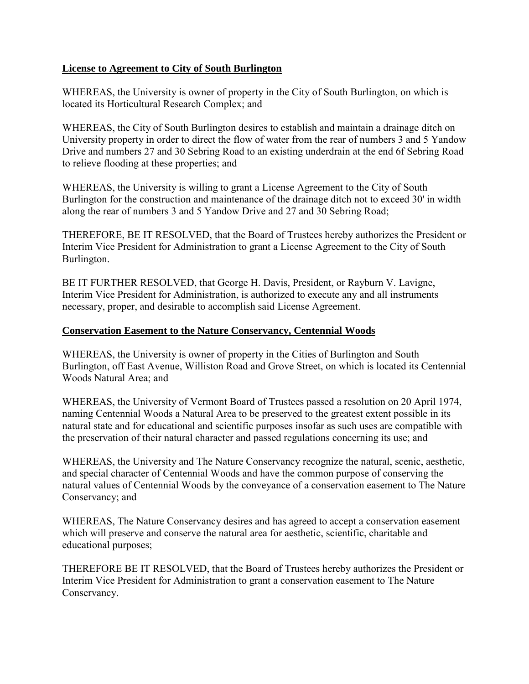# <span id="page-18-0"></span>**License to Agreement to City of South Burlington**

WHEREAS, the University is owner of property in the City of South Burlington, on which is located its Horticultural Research Complex; and

WHEREAS, the City of South Burlington desires to establish and maintain a drainage ditch on University property in order to direct the flow of water from the rear of numbers 3 and 5 Yandow Drive and numbers 27 and 30 Sebring Road to an existing underdrain at the end 6f Sebring Road to relieve flooding at these properties; and

WHEREAS, the University is willing to grant a License Agreement to the City of South Burlington for the construction and maintenance of the drainage ditch not to exceed 30' in width along the rear of numbers 3 and 5 Yandow Drive and 27 and 30 Sebring Road;

THEREFORE, BE IT RESOLVED, that the Board of Trustees hereby authorizes the President or Interim Vice President for Administration to grant a License Agreement to the City of South Burlington.

BE IT FURTHER RESOLVED, that George H. Davis, President, or Rayburn V. Lavigne, Interim Vice President for Administration, is authorized to execute any and all instruments necessary, proper, and desirable to accomplish said License Agreement.

## **Conservation Easement to the Nature Conservancy, Centennial Woods**

WHEREAS, the University is owner of property in the Cities of Burlington and South Burlington, off East Avenue, Williston Road and Grove Street, on which is located its Centennial Woods Natural Area; and

WHEREAS, the University of Vermont Board of Trustees passed a resolution on 20 April 1974, naming Centennial Woods a Natural Area to be preserved to the greatest extent possible in its natural state and for educational and scientific purposes insofar as such uses are compatible with the preservation of their natural character and passed regulations concerning its use; and

WHEREAS, the University and The Nature Conservancy recognize the natural, scenic, aesthetic, and special character of Centennial Woods and have the common purpose of conserving the natural values of Centennial Woods by the conveyance of a conservation easement to The Nature Conservancy; and

WHEREAS, The Nature Conservancy desires and has agreed to accept a conservation easement which will preserve and conserve the natural area for aesthetic, scientific, charitable and educational purposes;

THEREFORE BE IT RESOLVED, that the Board of Trustees hereby authorizes the President or Interim Vice President for Administration to grant a conservation easement to The Nature Conservancy.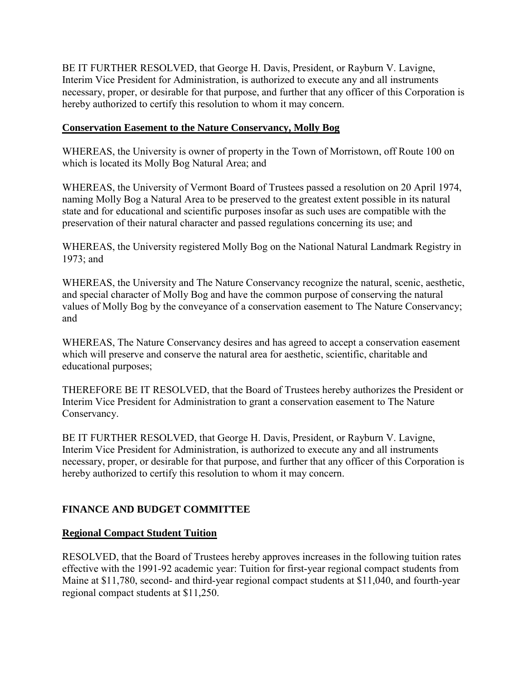<span id="page-19-0"></span>BE IT FURTHER RESOLVED, that George H. Davis, President, or Rayburn V. Lavigne, Interim Vice President for Administration, is authorized to execute any and all instruments necessary, proper, or desirable for that purpose, and further that any officer of this Corporation is hereby authorized to certify this resolution to whom it may concern.

### **Conservation Easement to the Nature Conservancy, Molly Bog**

WHEREAS, the University is owner of property in the Town of Morristown, off Route 100 on which is located its Molly Bog Natural Area; and

WHEREAS, the University of Vermont Board of Trustees passed a resolution on 20 April 1974, naming Molly Bog a Natural Area to be preserved to the greatest extent possible in its natural state and for educational and scientific purposes insofar as such uses are compatible with the preservation of their natural character and passed regulations concerning its use; and

WHEREAS, the University registered Molly Bog on the National Natural Landmark Registry in 1973; and

WHEREAS, the University and The Nature Conservancy recognize the natural, scenic, aesthetic, and special character of Molly Bog and have the common purpose of conserving the natural values of Molly Bog by the conveyance of a conservation easement to The Nature Conservancy; and

WHEREAS, The Nature Conservancy desires and has agreed to accept a conservation easement which will preserve and conserve the natural area for aesthetic, scientific, charitable and educational purposes;

THEREFORE BE IT RESOLVED, that the Board of Trustees hereby authorizes the President or Interim Vice President for Administration to grant a conservation easement to The Nature Conservancy.

BE IT FURTHER RESOLVED, that George H. Davis, President, or Rayburn V. Lavigne, Interim Vice President for Administration, is authorized to execute any and all instruments necessary, proper, or desirable for that purpose, and further that any officer of this Corporation is hereby authorized to certify this resolution to whom it may concern.

## **FINANCE AND BUDGET COMMITTEE**

## **Regional Compact Student Tuition**

RESOLVED, that the Board of Trustees hereby approves increases in the following tuition rates effective with the 1991-92 academic year: Tuition for first-year regional compact students from Maine at \$11,780, second- and third-year regional compact students at \$11,040, and fourth-year regional compact students at \$11,250.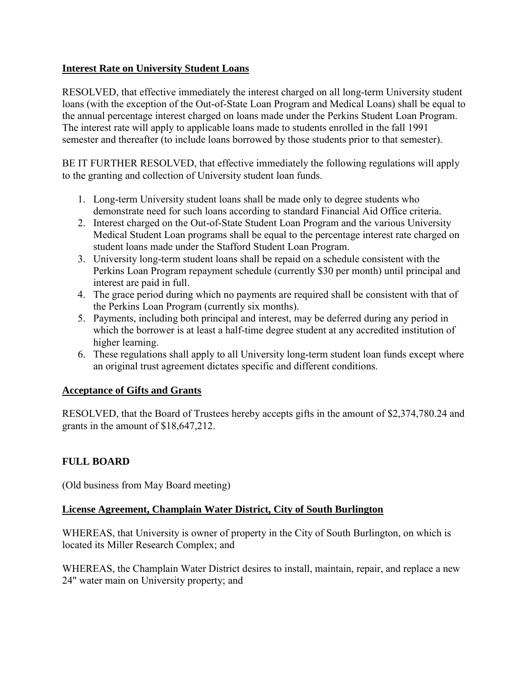# <span id="page-20-0"></span>**Interest Rate on University Student Loans**

RESOLVED, that effective immediately the interest charged on all long-term University student loans (with the exception of the Out-of-State Loan Program and Medical Loans) shall be equal to the annual percentage interest charged on loans made under the Perkins Student Loan Program. The interest rate will apply to applicable loans made to students enrolled in the fall 1991 semester and thereafter (to include loans borrowed by those students prior to that semester).

BE IT FURTHER RESOLVED, that effective immediately the following regulations will apply to the granting and collection of University student loan funds.

- 1. Long-term University student loans shall be made only to degree students who demonstrate need for such loans according to standard Financial Aid Office criteria.
- 2. Interest charged on the Out-of-State Student Loan Program and the various University Medical Student Loan programs shall be equal to the percentage interest rate charged on student loans made under the Stafford Student Loan Program.
- 3. University long-term student loans shall be repaid on a schedule consistent with the Perkins Loan Program repayment schedule (currently \$30 per month) until principal and interest are paid in full.
- 4. The grace period during which no payments are required shall be consistent with that of the Perkins Loan Program (currently six months).
- 5. Payments, including both principal and interest, may be deferred during any period in which the borrower is at least a half-time degree student at any accredited institution of higher learning.
- 6. These regulations shall apply to all University long-term student loan funds except where an original trust agreement dictates specific and different conditions.

## **Acceptance of Gifts and Grants**

RESOLVED, that the Board of Trustees hereby accepts gifts in the amount of \$2,374,780.24 and grants in the amount of \$18,647,212.

# **FULL BOARD**

(Old business from May Board meeting)

## **License Agreement, Champlain Water District, City of South Burlington**

WHEREAS, that University is owner of property in the City of South Burlington, on which is located its Miller Research Complex; and

WHEREAS, the Champlain Water District desires to install, maintain, repair, and replace a new 24" water main on University property; and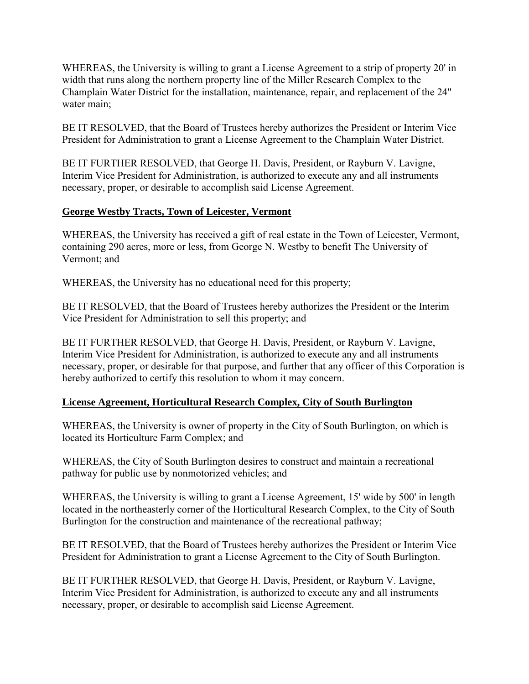<span id="page-21-0"></span>WHEREAS, the University is willing to grant a License Agreement to a strip of property 20' in width that runs along the northern property line of the Miller Research Complex to the Champlain Water District for the installation, maintenance, repair, and replacement of the 24" water main;

BE IT RESOLVED, that the Board of Trustees hereby authorizes the President or Interim Vice President for Administration to grant a License Agreement to the Champlain Water District.

BE IT FURTHER RESOLVED, that George H. Davis, President, or Rayburn V. Lavigne, Interim Vice President for Administration, is authorized to execute any and all instruments necessary, proper, or desirable to accomplish said License Agreement.

## **George Westby Tracts, Town of Leicester, Vermont**

WHEREAS, the University has received a gift of real estate in the Town of Leicester, Vermont, containing 290 acres, more or less, from George N. Westby to benefit The University of Vermont; and

WHEREAS, the University has no educational need for this property;

BE IT RESOLVED, that the Board of Trustees hereby authorizes the President or the Interim Vice President for Administration to sell this property; and

BE IT FURTHER RESOLVED, that George H. Davis, President, or Rayburn V. Lavigne, Interim Vice President for Administration, is authorized to execute any and all instruments necessary, proper, or desirable for that purpose, and further that any officer of this Corporation is hereby authorized to certify this resolution to whom it may concern.

# **License Agreement, Horticultural Research Complex, City of South Burlington**

WHEREAS, the University is owner of property in the City of South Burlington, on which is located its Horticulture Farm Complex; and

WHEREAS, the City of South Burlington desires to construct and maintain a recreational pathway for public use by nonmotorized vehicles; and

WHEREAS, the University is willing to grant a License Agreement, 15' wide by 500' in length located in the northeasterly corner of the Horticultural Research Complex, to the City of South Burlington for the construction and maintenance of the recreational pathway;

BE IT RESOLVED, that the Board of Trustees hereby authorizes the President or Interim Vice President for Administration to grant a License Agreement to the City of South Burlington.

BE IT FURTHER RESOLVED, that George H. Davis, President, or Rayburn V. Lavigne, Interim Vice President for Administration, is authorized to execute any and all instruments necessary, proper, or desirable to accomplish said License Agreement.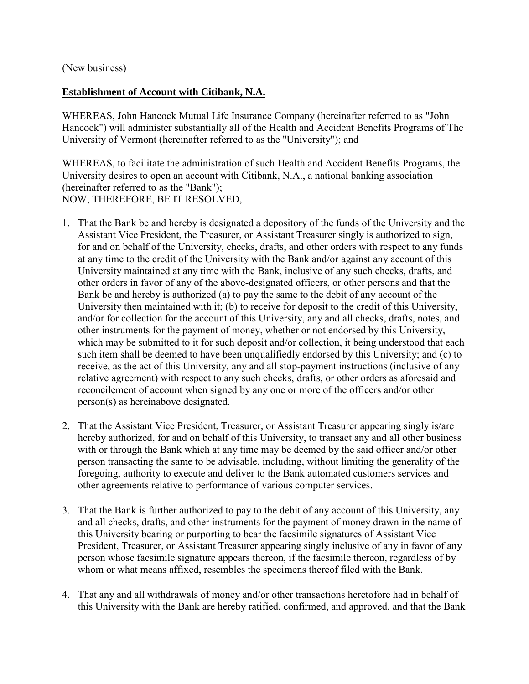<span id="page-22-0"></span>(New business)

## **Establishment of Account with Citibank, N.A.**

WHEREAS, John Hancock Mutual Life Insurance Company (hereinafter referred to as "John Hancock") will administer substantially all of the Health and Accident Benefits Programs of The University of Vermont (hereinafter referred to as the "University"); and

WHEREAS, to facilitate the administration of such Health and Accident Benefits Programs, the University desires to open an account with Citibank, N.A., a national banking association (hereinafter referred to as the "Bank"); NOW, THEREFORE, BE IT RESOLVED,

- 1. That the Bank be and hereby is designated a depository of the funds of the University and the Assistant Vice President, the Treasurer, or Assistant Treasurer singly is authorized to sign, for and on behalf of the University, checks, drafts, and other orders with respect to any funds at any time to the credit of the University with the Bank and/or against any account of this University maintained at any time with the Bank, inclusive of any such checks, drafts, and other orders in favor of any of the above**-**designated officers, or other persons and that the Bank be and hereby is authorized (a) to pay the same to the debit of any account of the University then maintained with it; (b) to receive for deposit to the credit of this University, and/or for collection for the account of this University, any and all checks, drafts, notes, and other instruments for the payment of money, whether or not endorsed by this University, which may be submitted to it for such deposit and/or collection, it being understood that each such item shall be deemed to have been unqualifiedly endorsed by this University; and (c) to receive, as the act of this University, any and all stop-payment instructions (inclusive of any relative agreement) with respect to any such checks, drafts, or other orders as aforesaid and reconcilement of account when signed by any one or more of the officers and/or other person(s) as hereinabove designated.
- 2. That the Assistant Vice President, Treasurer, or Assistant Treasurer appearing singly is/are hereby authorized, for and on behalf of this University, to transact any and all other business with or through the Bank which at any time may be deemed by the said officer and/or other person transacting the same to be advisable, including, without limiting the generality of the foregoing, authority to execute and deliver to the Bank automated customers services and other agreements relative to performance of various computer services.
- 3. That the Bank is further authorized to pay to the debit of any account of this University, any and all checks, drafts, and other instruments for the payment of money drawn in the name of this University bearing or purporting to bear the facsimile signatures of Assistant Vice President, Treasurer, or Assistant Treasurer appearing singly inclusive of any in favor of any person whose facsimile signature appears thereon, if the facsimile thereon, regardless of by whom or what means affixed, resembles the specimens thereof filed with the Bank.
- 4. That any and all withdrawals of money and/or other transactions heretofore had in behalf of this University with the Bank are hereby ratified, confirmed, and approved, and that the Bank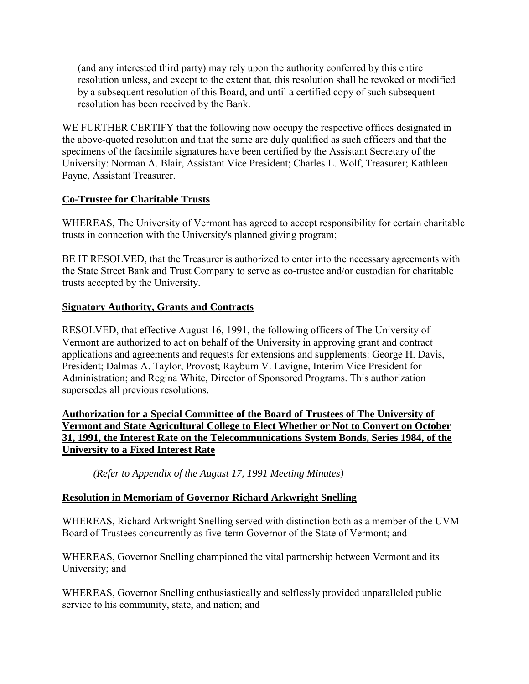<span id="page-23-0"></span>(and any interested third party) may rely upon the authority conferred by this entire resolution unless, and except to the extent that, this resolution shall be revoked or modified by a subsequent resolution of this Board, and until a certified copy of such subsequent resolution has been received by the Bank.

WE FURTHER CERTIFY that the following now occupy the respective offices designated in the above**-**quoted resolution and that the same are duly qualified as such officers and that the specimens of the facsimile signatures have been certified by the Assistant Secretary of the University: Norman A. Blair, Assistant Vice President; Charles L. Wolf, Treasurer; Kathleen Payne, Assistant Treasurer.

# **Co-Trustee for Charitable Trusts**

WHEREAS, The University of Vermont has agreed to accept responsibility for certain charitable trusts in connection with the University's planned giving program;

BE IT RESOLVED, that the Treasurer is authorized to enter into the necessary agreements with the State Street Bank and Trust Company to serve as co-trustee and/or custodian for charitable trusts accepted by the University.

## **Signatory Authority, Grants and Contracts**

RESOLVED, that effective August 16, 1991, the following officers of The University of Vermont are authorized to act on behalf of the University in approving grant and contract applications and agreements and requests for extensions and supplements: George H. Davis, President; Dalmas A. Taylor, Provost; Rayburn V. Lavigne, Interim Vice President for Administration; and Regina White, Director of Sponsored Programs. This authorization supersedes all previous resolutions.

**Authorization for a Special Committee of the Board of Trustees of The University of Vermont and State Agricultural College to Elect Whether or Not to Convert on October 31, 1991, the Interest Rate on the Telecommunications System Bonds, Series 1984, of the University to a Fixed Interest Rate** 

 *(Refer to Appendix of the August 17, 1991 Meeting Minutes)*

# **Resolution in Memoriam of Governor Richard Arkwright Snelling**

WHEREAS, Richard Arkwright Snelling served with distinction both as a member of the UVM Board of Trustees concurrently as five-term Governor of the State of Vermont; and

WHEREAS, Governor Snelling championed the vital partnership between Vermont and its University; and

WHEREAS, Governor Snelling enthusiastically and selflessly provided unparalleled public service to his community, state, and nation; and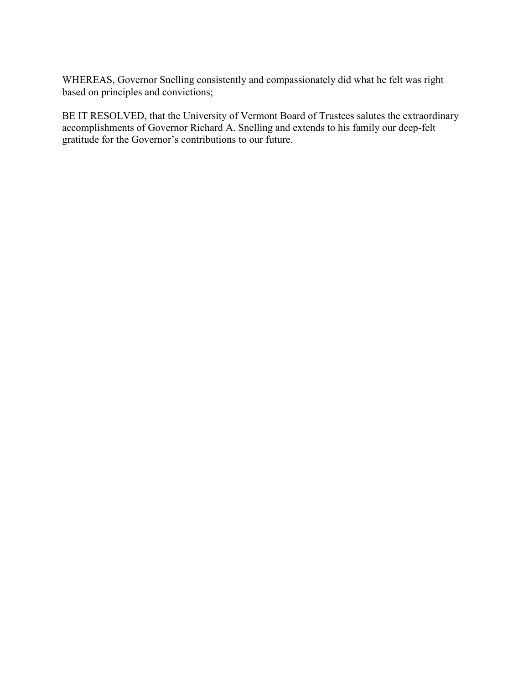WHEREAS, Governor Snelling consistently and compassionately did what he felt was right based on principles and convictions;

BE IT RESOLVED, that the University of Vermont Board of Trustees salutes the extraordinary accomplishments of Governor Richard A. Snelling and extends to his family our deep-felt gratitude for the Governor's contributions to our future.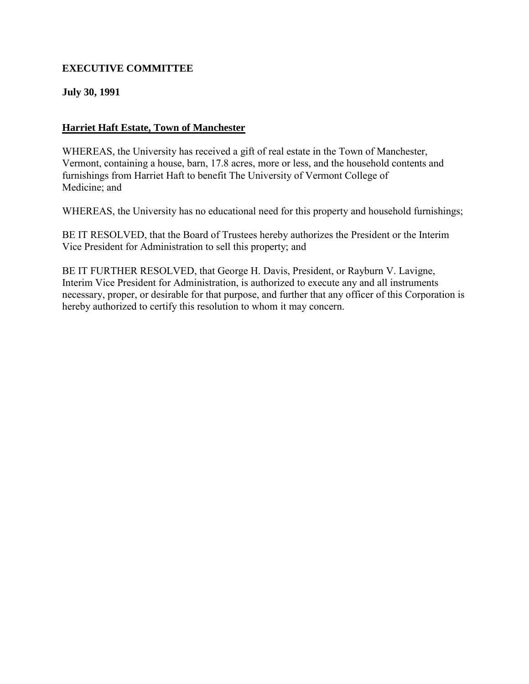# <span id="page-25-0"></span>**EXECUTIVE COMMITTEE**

## **July 30, 1991**

# **Harriet Haft Estate, Town of Manchester**

WHEREAS, the University has received a gift of real estate in the Town of Manchester, Vermont, containing a house, barn, 17.8 acres, more or less, and the household contents and furnishings from Harriet Haft to benefit The University of Vermont College of Medicine; and

WHEREAS, the University has no educational need for this property and household furnishings;

BE IT RESOLVED, that the Board of Trustees hereby authorizes the President or the Interim Vice President for Administration to sell this property; and

BE IT FURTHER RESOLVED, that George H. Davis, President, or Rayburn V. Lavigne, Interim Vice President for Administration, is authorized to execute any and all instruments necessary, proper, or desirable for that purpose, and further that any officer of this Corporation is hereby authorized to certify this resolution to whom it may concern.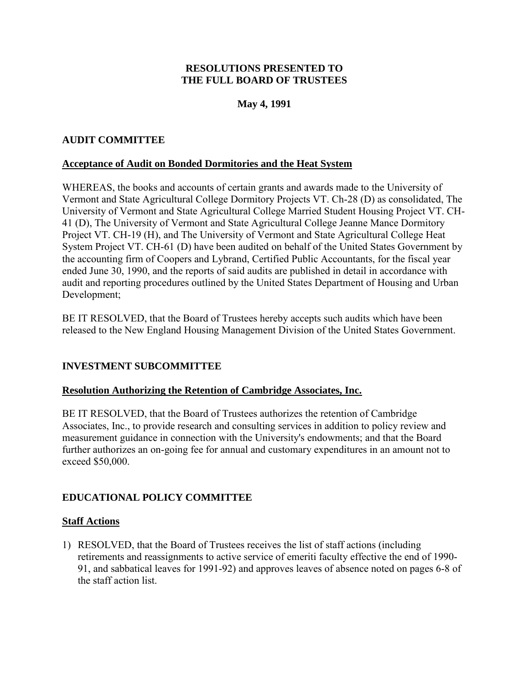## **RESOLUTIONS PRESENTED TO THE FULL BOARD OF TRUSTEES**

# **May 4, 1991**

# <span id="page-26-0"></span>**AUDIT COMMITTEE**

### **Acceptance of Audit on Bonded Dormitories and the Heat System**

WHEREAS, the books and accounts of certain grants and awards made to the University of Vermont and State Agricultural College Dormitory Projects VT. Ch-28 (D) as consolidated, The University of Vermont and State Agricultural College Married Student Housing Project VT. CH-41 (D), The University of Vermont and State Agricultural College Jeanne Mance Dormitory Project VT. CH-19 (H), and The University of Vermont and State Agricultural College Heat System Project VT. CH-61 (D) have been audited on behalf of the United States Government by the accounting firm of Coopers and Lybrand, Certified Public Accountants, for the fiscal year ended June 30, 1990, and the reports of said audits are published in detail in accordance with audit and reporting procedures outlined by the United States Department of Housing and Urban Development;

BE IT RESOLVED, that the Board of Trustees hereby accepts such audits which have been released to the New England Housing Management Division of the United States Government.

## **INVESTMENT SUBCOMMITTEE**

#### **Resolution Authorizing the Retention of Cambridge Associates, Inc.**

BE IT RESOLVED, that the Board of Trustees authorizes the retention of Cambridge Associates, Inc., to provide research and consulting services in addition to policy review and measurement guidance in connection with the University's endowments; and that the Board further authorizes an on-going fee for annual and customary expenditures in an amount not to exceed \$50,000.

## **EDUCATIONAL POLICY COMMITTEE**

#### **Staff Actions**

1) RESOLVED, that the Board of Trustees receives the list of staff actions (including retirements and reassignments to active service of emeriti faculty effective the end of 1990- 91, and sabbatical leaves for 1991-92) and approves leaves of absence noted on pages 6-8 of the staff action list.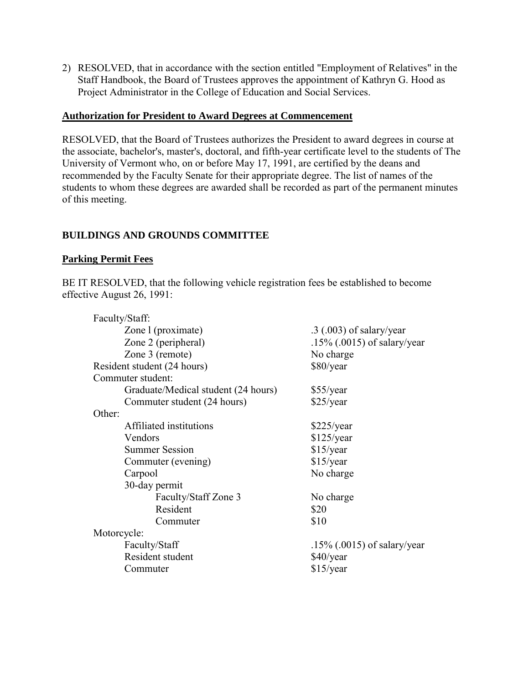<span id="page-27-0"></span>2) RESOLVED, that in accordance with the section entitled "Employment of Relatives" in the Staff Handbook, the Board of Trustees approves the appointment of Kathryn G. Hood as Project Administrator in the College of Education and Social Services.

### **Authorization for President to Award Degrees at Commencement**

RESOLVED, that the Board of Trustees authorizes the President to award degrees in course at the associate, bachelor's, master's, doctoral, and fifth-year certificate level to the students of The University of Vermont who, on or before May 17, 1991, are certified by the deans and recommended by the Faculty Senate for their appropriate degree. The list of names of the students to whom these degrees are awarded shall be recorded as part of the permanent minutes of this meeting.

# **BUILDINGS AND GROUNDS COMMITTEE**

## **Parking Permit Fees**

BE IT RESOLVED, that the following vehicle registration fees be established to become effective August 26, 1991:

| Faculty/Staff:                      |                                |
|-------------------------------------|--------------------------------|
| Zone 1 (proximate)                  | $.3$ (.003) of salary/year     |
| Zone 2 (peripheral)                 | $.15\%$ (.0015) of salary/year |
| Zone 3 (remote)                     | No charge                      |
| Resident student (24 hours)         | \$80/year                      |
| Commuter student:                   |                                |
| Graduate/Medical student (24 hours) | $$55/\text{year}$              |
| Commuter student (24 hours)         | \$25/year                      |
| Other:                              |                                |
| Affiliated institutions             | \$225/year                     |
| Vendors                             | \$125/year                     |
| <b>Summer Session</b>               | $$15$ /year                    |
| Commuter (evening)                  | \$15/year                      |
| Carpool                             | No charge                      |
| 30-day permit                       |                                |
| Faculty/Staff Zone 3                | No charge                      |
| Resident                            | \$20                           |
| Commuter                            | \$10                           |
| Motorcycle:                         |                                |
| Faculty/Staff                       | $.15\%$ (.0015) of salary/year |
| Resident student                    | $$40$ /year                    |
| Commuter                            | $$15$ /year                    |
|                                     |                                |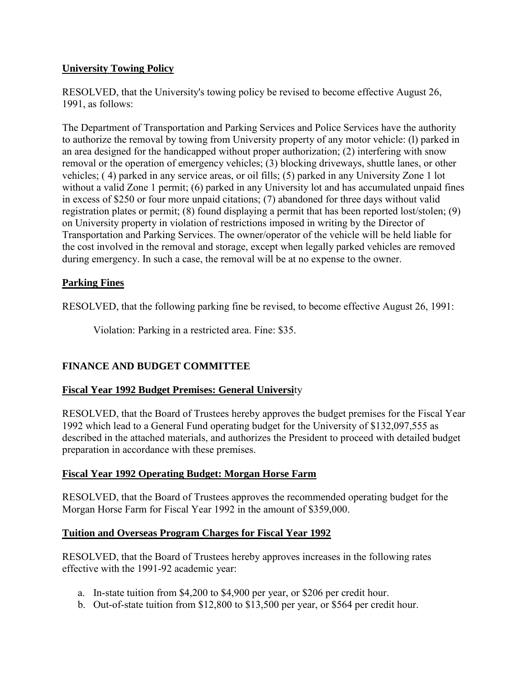# <span id="page-28-0"></span>**University Towing Policy**

RESOLVED, that the University's towing policy be revised to become effective August 26, 1991, as follows:

The Department of Transportation and Parking Services and Police Services have the authority to authorize the removal by towing from University property of any motor vehicle: (l) parked in an area designed for the handicapped without proper authorization; (2) interfering with snow removal or the operation of emergency vehicles; (3) blocking driveways, shuttle lanes, or other vehicles; ( 4) parked in any service areas, or oil fills; (5) parked in any University Zone 1 lot without a valid Zone 1 permit; (6) parked in any University lot and has accumulated unpaid fines in excess of \$250 or four more unpaid citations; (7) abandoned for three days without valid registration plates or permit; (8) found displaying a permit that has been reported lost/stolen; (9) on University property in violation of restrictions imposed in writing by the Director of Transportation and Parking Services. The owner/operator of the vehicle will be held liable for the cost involved in the removal and storage, except when legally parked vehicles are removed during emergency. In such a case, the removal will be at no expense to the owner.

# **Parking Fines**

RESOLVED, that the following parking fine be revised, to become effective August 26, 1991:

Violation: Parking in a restricted area. Fine: \$35.

# **FINANCE AND BUDGET COMMITTEE**

# **Fiscal Year 1992 Budget Premises: General Universi**ty

RESOLVED, that the Board of Trustees hereby approves the budget premises for the Fiscal Year 1992 which lead to a General Fund operating budget for the University of \$132,097,555 as described in the attached materials, and authorizes the President to proceed with detailed budget preparation in accordance with these premises.

## **Fiscal Year 1992 Operating Budget: Morgan Horse Farm**

RESOLVED, that the Board of Trustees approves the recommended operating budget for the Morgan Horse Farm for Fiscal Year 1992 in the amount of \$359,000.

## **Tuition and Overseas Program Charges for Fiscal Year 1992**

RESOLVED, that the Board of Trustees hereby approves increases in the following rates effective with the 1991-92 academic year:

- a. In-state tuition from \$4,200 to \$4,900 per year, or \$206 per credit hour.
- b. Out-of-state tuition from \$12,800 to \$13,500 per year, or \$564 per credit hour.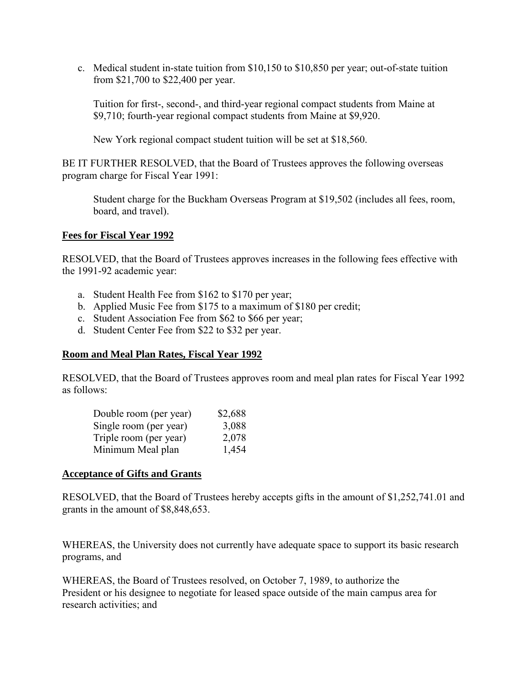<span id="page-29-0"></span>c. Medical student in-state tuition from \$10,150 to \$10,850 per year; out-of-state tuition from \$21,700 to \$22,400 per year.

Tuition for first-, second-, and third-year regional compact students from Maine at \$9,710; fourth-year regional compact students from Maine at \$9,920.

New York regional compact student tuition will be set at \$18,560.

BE IT FURTHER RESOLVED, that the Board of Trustees approves the following overseas program charge for Fiscal Year 1991:

Student charge for the Buckham Overseas Program at \$19,502 (includes all fees, room, board, and travel).

### **Fees for Fiscal Year 1992**

RESOLVED, that the Board of Trustees approves increases in the following fees effective with the 1991-92 academic year:

- a. Student Health Fee from \$162 to \$170 per year;
- b. Applied Music Fee from \$175 to a maximum of \$180 per credit;
- c. Student Association Fee from \$62 to \$66 per year;
- d. Student Center Fee from \$22 to \$32 per year.

#### **Room and Meal Plan Rates, Fiscal Year 1992**

RESOLVED, that the Board of Trustees approves room and meal plan rates for Fiscal Year 1992 as follows:

| Double room (per year) | \$2,688 |
|------------------------|---------|
| Single room (per year) | 3,088   |
| Triple room (per year) | 2,078   |
| Minimum Meal plan      | 1,454   |

#### **Acceptance of Gifts and Grants**

RESOLVED, that the Board of Trustees hereby accepts gifts in the amount of \$1,252,741.01 and grants in the amount of \$8,848,653.

WHEREAS, the University does not currently have adequate space to support its basic research programs, and

WHEREAS, the Board of Trustees resolved, on October 7, 1989, to authorize the President or his designee to negotiate for leased space outside of the main campus area for research activities; and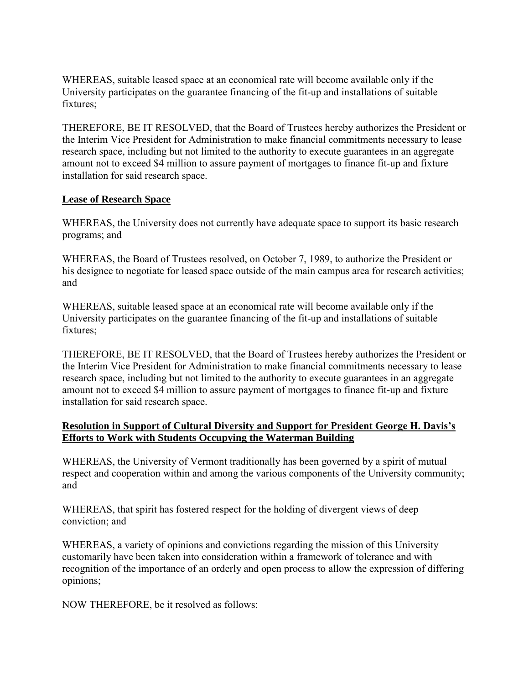<span id="page-30-0"></span>WHEREAS, suitable leased space at an economical rate will become available only if the University participates on the guarantee financing of the fit-up and installations of suitable fixtures;

THEREFORE, BE IT RESOLVED, that the Board of Trustees hereby authorizes the President or the Interim Vice President for Administration to make financial commitments necessary to lease research space, including but not limited to the authority to execute guarantees in an aggregate amount not to exceed \$4 million to assure payment of mortgages to finance fit-up and fixture installation for said research space.

# **Lease of Research Space**

WHEREAS, the University does not currently have adequate space to support its basic research programs; and

WHEREAS, the Board of Trustees resolved, on October 7, 1989, to authorize the President or his designee to negotiate for leased space outside of the main campus area for research activities; and

WHEREAS, suitable leased space at an economical rate will become available only if the University participates on the guarantee financing of the fit-up and installations of suitable fixtures;

THEREFORE, BE IT RESOLVED, that the Board of Trustees hereby authorizes the President or the Interim Vice President for Administration to make financial commitments necessary to lease research space, including but not limited to the authority to execute guarantees in an aggregate amount not to exceed \$4 million to assure payment of mortgages to finance fit-up and fixture installation for said research space.

### **Resolution in Support of Cultural Diversity and Support for President George H. Davis's Efforts to Work with Students Occupying the Waterman Building**

WHEREAS, the University of Vermont traditionally has been governed by a spirit of mutual respect and cooperation within and among the various components of the University community; and

WHEREAS, that spirit has fostered respect for the holding of divergent views of deep conviction; and

WHEREAS, a variety of opinions and convictions regarding the mission of this University customarily have been taken into consideration within a framework of tolerance and with recognition of the importance of an orderly and open process to allow the expression of differing opinions;

NOW THEREFORE, be it resolved as follows: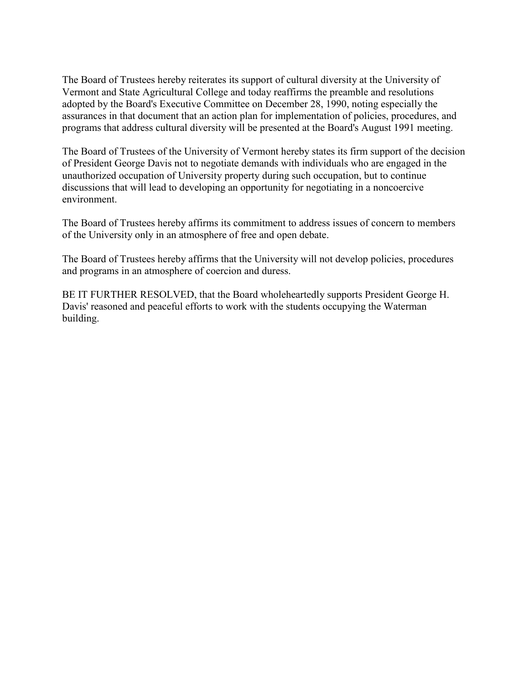The Board of Trustees hereby reiterates its support of cultural diversity at the University of Vermont and State Agricultural College and today reaffirms the preamble and resolutions adopted by the Board's Executive Committee on December 28, 1990, noting especially the assurances in that document that an action plan for implementation of policies, procedures, and programs that address cultural diversity will be presented at the Board's August 1991 meeting.

The Board of Trustees of the University of Vermont hereby states its firm support of the decision of President George Davis not to negotiate demands with individuals who are engaged in the unauthorized occupation of University property during such occupation, but to continue discussions that will lead to developing an opportunity for negotiating in a noncoercive environment.

The Board of Trustees hereby affirms its commitment to address issues of concern to members of the University only in an atmosphere of free and open debate.

The Board of Trustees hereby affirms that the University will not develop policies, procedures and programs in an atmosphere of coercion and duress.

BE IT FURTHER RESOLVED, that the Board wholeheartedly supports President George H. Davis' reasoned and peaceful efforts to work with the students occupying the Waterman building.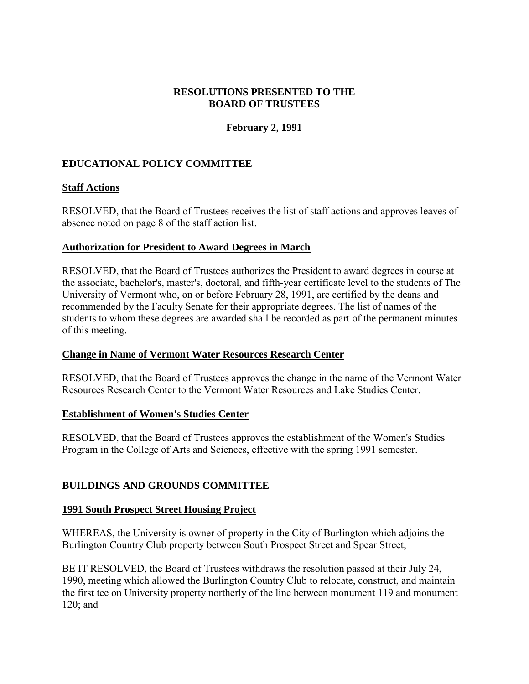### **RESOLUTIONS PRESENTED TO THE BOARD OF TRUSTEES**

# **February 2, 1991**

# <span id="page-32-0"></span>**EDUCATIONAL POLICY COMMITTEE**

### **Staff Actions**

RESOLVED, that the Board of Trustees receives the list of staff actions and approves leaves of absence noted on page 8 of the staff action list.

#### **Authorization for President to Award Degrees in March**

RESOLVED, that the Board of Trustees authorizes the President to award degrees in course at the associate, bachelor's, master's, doctoral, and fifth-year certificate level to the students of The University of Vermont who, on or before February 28, 1991, are certified by the deans and recommended by the Faculty Senate for their appropriate degrees. The list of names of the students to whom these degrees are awarded shall be recorded as part of the permanent minutes of this meeting.

#### **Change in Name of Vermont Water Resources Research Center**

RESOLVED, that the Board of Trustees approves the change in the name of the Vermont Water Resources Research Center to the Vermont Water Resources and Lake Studies Center.

#### **Establishment of Women's Studies Center**

RESOLVED, that the Board of Trustees approves the establishment of the Women's Studies Program in the College of Arts and Sciences, effective with the spring 1991 semester.

## **BUILDINGS AND GROUNDS COMMITTEE**

#### **1991 South Prospect Street Housing Project**

WHEREAS, the University is owner of property in the City of Burlington which adjoins the Burlington Country Club property between South Prospect Street and Spear Street;

BE IT RESOLVED, the Board of Trustees withdraws the resolution passed at their July 24, 1990, meeting which allowed the Burlington Country Club to relocate, construct, and maintain the first tee on University property northerly of the line between monument 119 and monument 120; and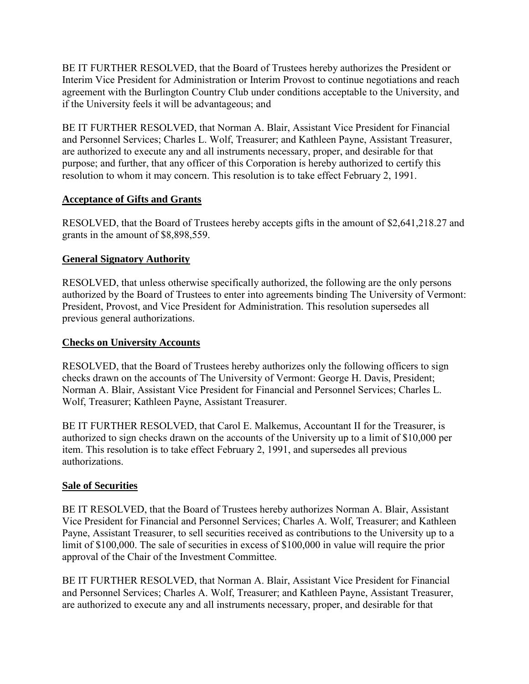<span id="page-33-0"></span>BE IT FURTHER RESOLVED, that the Board of Trustees hereby authorizes the President or Interim Vice President for Administration or Interim Provost to continue negotiations and reach agreement with the Burlington Country Club under conditions acceptable to the University, and if the University feels it will be advantageous; and

BE IT FURTHER RESOLVED, that Norman A. Blair, Assistant Vice President for Financial and Personnel Services; Charles L. Wolf, Treasurer; and Kathleen Payne, Assistant Treasurer, are authorized to execute any and all instruments necessary, proper, and desirable for that purpose; and further, that any officer of this Corporation is hereby authorized to certify this resolution to whom it may concern. This resolution is to take effect February 2, 1991.

## **Acceptance of Gifts and Grants**

RESOLVED, that the Board of Trustees hereby accepts gifts in the amount of \$2,641,218.27 and grants in the amount of \$8,898,559.

# **General Signatory Authority**

RESOLVED, that unless otherwise specifically authorized, the following are the only persons authorized by the Board of Trustees to enter into agreements binding The University of Vermont: President, Provost, and Vice President for Administration. This resolution supersedes all previous general authorizations.

# **Checks on University Accounts**

RESOLVED, that the Board of Trustees hereby authorizes only the following officers to sign checks drawn on the accounts of The University of Vermont: George H. Davis, President; Norman A. Blair, Assistant Vice President for Financial and Personnel Services; Charles L. Wolf, Treasurer; Kathleen Payne, Assistant Treasurer.

BE IT FURTHER RESOLVED, that Carol E. Malkemus, Accountant II for the Treasurer, is authorized to sign checks drawn on the accounts of the University up to a limit of \$10,000 per item. This resolution is to take effect February 2, 1991, and supersedes all previous authorizations.

# **Sale of Securities**

BE IT RESOLVED, that the Board of Trustees hereby authorizes Norman A. Blair, Assistant Vice President for Financial and Personnel Services; Charles A. Wolf, Treasurer; and Kathleen Payne, Assistant Treasurer, to sell securities received as contributions to the University up to a limit of \$100,000. The sale of securities in excess of \$100,000 in value will require the prior approval of the Chair of the Investment Committee.

BE IT FURTHER RESOLVED, that Norman A. Blair, Assistant Vice President for Financial and Personnel Services; Charles A. Wolf, Treasurer; and Kathleen Payne, Assistant Treasurer, are authorized to execute any and all instruments necessary, proper, and desirable for that